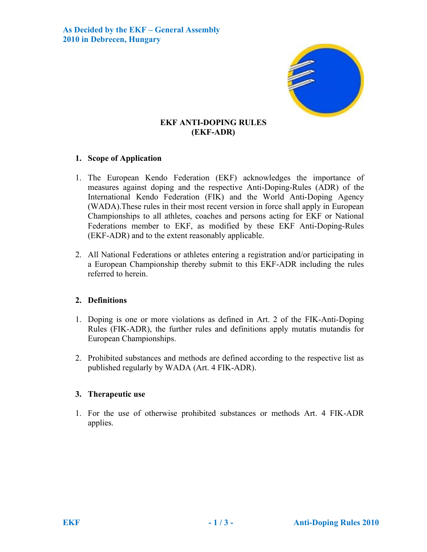

# **EKF ANTI-DOPING RULES (EKF-ADR)**

## **1. Scope of Application**

- 1. The European Kendo Federation (EKF) acknowledges the importance of measures against doping and the respective Anti-Doping-Rules (ADR) of the International Kendo Federation (FIK) and the World Anti-Doping Agency (WADA).These rules in their most recent version in force shall apply in European Championships to all athletes, coaches and persons acting for EKF or National Federations member to EKF, as modified by these EKF Anti-Doping-Rules (EKF-ADR) and to the extent reasonably applicable.
- 2. All National Federations or athletes entering a registration and/or participating in a European Championship thereby submit to this EKF-ADR including the rules referred to herein.

## **2. Definitions**

- 1. Doping is one or more violations as defined in Art. 2 of the FIK-Anti-Doping Rules (FIK-ADR), the further rules and definitions apply mutatis mutandis for European Championships.
- 2. Prohibited substances and methods are defined according to the respective list as published regularly by WADA (Art. 4 FIK-ADR).

## **3. Therapeutic use**

1. For the use of otherwise prohibited substances or methods Art. 4 FIK-ADR applies.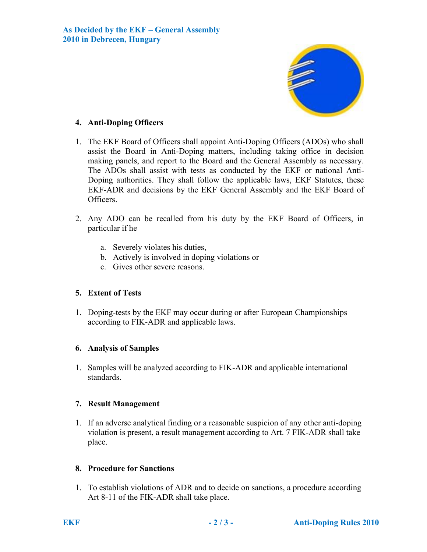

## **4. Anti-Doping Officers**

- 1. The EKF Board of Officers shall appoint Anti-Doping Officers (ADOs) who shall assist the Board in Anti-Doping matters, including taking office in decision making panels, and report to the Board and the General Assembly as necessary. The ADOs shall assist with tests as conducted by the EKF or national Anti-Doping authorities. They shall follow the applicable laws, EKF Statutes, these EKF-ADR and decisions by the EKF General Assembly and the EKF Board of Officers.
- 2. Any ADO can be recalled from his duty by the EKF Board of Officers, in particular if he
	- a. Severely violates his duties,
	- b. Actively is involved in doping violations or
	- c. Gives other severe reasons.

# **5. Extent of Tests**

1. Doping-tests by the EKF may occur during or after European Championships according to FIK-ADR and applicable laws.

## **6. Analysis of Samples**

1. Samples will be analyzed according to FIK-ADR and applicable international standards.

## **7. Result Management**

1. If an adverse analytical finding or a reasonable suspicion of any other anti-doping violation is present, a result management according to Art. 7 FIK-ADR shall take place.

## **8. Procedure for Sanctions**

1. To establish violations of ADR and to decide on sanctions, a procedure according Art 8-11 of the FIK-ADR shall take place.